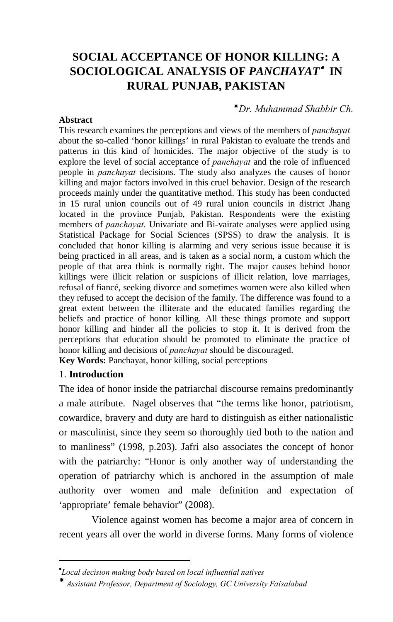# **SOCIAL ACCEPTANCE OF HONOR KILLING: A SOCIOLOGICAL ANALYSIS OF** *PANCHAYAT*•  **IN RURAL PUNJAB, PAKISTAN**

#### *Dr. Muhammad Shabbir Ch.*

#### **Abstract**

This research examines the perceptions and views of the members of *panchayat* about the so-called 'honor killings' in rural Pakistan to evaluate the trends and patterns in this kind of homicides. The major objective of the study is to explore the level of social acceptance of *panchayat* and the role of influenced people in *panchayat* decisions. The study also analyzes the causes of honor killing and major factors involved in this cruel behavior. Design of the research proceeds mainly under the quantitative method. This study has been conducted in 15 rural union councils out of 49 rural union councils in district Jhang located in the province Punjab, Pakistan. Respondents were the existing members of *panchayat*. Univariate and Bi-vairate analyses were applied using Statistical Package for Social Sciences (SPSS) to draw the analysis. It is concluded that honor killing is alarming and very serious issue because it is being practiced in all areas, and is taken as a social norm, a custom which the people of that area think is normally right. The major causes behind honor killings were illicit relation or suspicions of illicit relation, love marriages, refusal of fiancé, seeking divorce and sometimes women were also killed when they refused to accept the decision of the family. The difference was found to a great extent between the illiterate and the educated families regarding the beliefs and practice of honor killing. All these things promote and support honor killing and hinder all the policies to stop it. It is derived from the perceptions that education should be promoted to eliminate the practice of honor killing and decisions of *panchayat* should be discouraged. **Key Words:** Panchayat, honor killing, social perceptions

#### 1. **Introduction**

 $\overline{a}$ 

The idea of honor inside the patriarchal discourse remains predominantly a male attribute. Nagel observes that "the terms like honor, patriotism, cowardice, bravery and duty are hard to distinguish as either nationalistic or masculinist, since they seem so thoroughly tied both to the nation and to manliness" (1998, p.203). Jafri also associates the concept of honor with the patriarchy: "Honor is only another way of understanding the operation of patriarchy which is anchored in the assumption of male authority over women and male definition and expectation of 'appropriate' female behavior" (2008).

Violence against women has become a major area of concern in recent years all over the world in diverse forms. Many forms of violence

<span id="page-0-1"></span><sup>•</sup> *Local decision making body based on local influential natives*

<span id="page-0-0"></span>*Assistant Professor, Department of Sociology, GC University Faisalabad*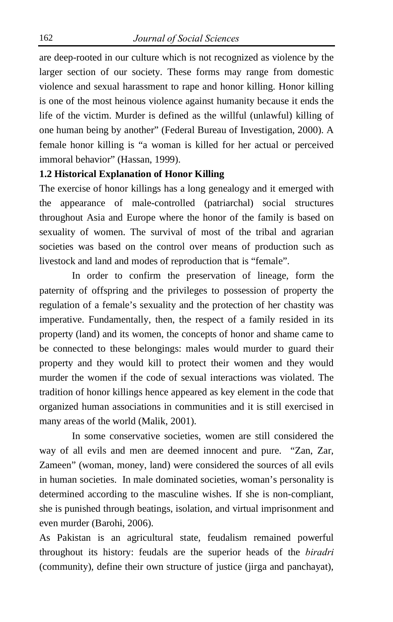are deep-rooted in our culture which is not recognized as violence by the larger section of our society. These forms may range from domestic violence and sexual harassment to rape and honor killing. Honor killing is one of the most heinous violence against humanity because it ends the life of the victim. Murder is defined as the willful (unlawful) killing of one human being by another" (Federal Bureau of Investigation, 2000). A female honor killing is "a woman is killed for her actual or perceived immoral behavior" (Hassan, 1999).

#### **1.2 Historical Explanation of Honor Killing**

The exercise of honor killings has a long genealogy and it emerged with the appearance of male-controlled (patriarchal) social structures throughout Asia and Europe where the honor of the family is based on sexuality of women. The survival of most of the tribal and agrarian societies was based on the control over means of production such as livestock and land and modes of reproduction that is "female".

In order to confirm the preservation of lineage, form the paternity of offspring and the privileges to possession of property the regulation of a female's sexuality and the protection of her chastity was imperative. Fundamentally, then, the respect of a family resided in its property (land) and its women, the concepts of honor and shame came to be connected to these belongings: males would murder to guard their property and they would kill to protect their women and they would murder the women if the code of sexual interactions was violated. The tradition of honor killings hence appeared as key element in the code that organized human associations in communities and it is still exercised in many areas of the world (Malik, 2001).

In some conservative societies, women are still considered the way of all evils and men are deemed innocent and pure. "Zan, Zar, Zameen" (woman, money, land) were considered the sources of all evils in human societies. In male dominated societies, woman's personality is determined according to the masculine wishes. If she is non-compliant, she is punished through beatings, isolation, and virtual imprisonment and even murder (Barohi, 2006).

As Pakistan is an agricultural state, feudalism remained powerful throughout its history: feudals are the superior heads of the *biradri* (community), define their own structure of justice (jirga and panchayat),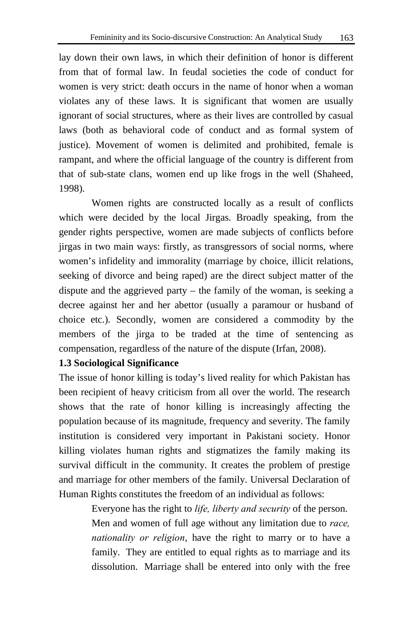lay down their own laws, in which their definition of honor is different from that of formal law. In feudal societies the code of conduct for women is very strict: death occurs in the name of honor when a woman violates any of these laws. It is significant that women are usually ignorant of social structures, where as their lives are controlled by casual laws (both as behavioral code of conduct and as formal system of justice). Movement of women is delimited and prohibited, female is rampant, and where the official language of the country is different from that of sub-state clans, women end up like frogs in the well (Shaheed, 1998).

Women rights are constructed locally as a result of conflicts which were decided by the local Jirgas. Broadly speaking, from the gender rights perspective, women are made subjects of conflicts before jirgas in two main ways: firstly, as transgressors of social norms, where women's infidelity and immorality (marriage by choice, illicit relations, seeking of divorce and being raped) are the direct subject matter of the dispute and the aggrieved party – the family of the woman, is seeking a decree against her and her abettor (usually a paramour or husband of choice etc.). Secondly, women are considered a commodity by the members of the jirga to be traded at the time of sentencing as compensation, regardless of the nature of the dispute (Irfan, 2008).

### **1.3 Sociological Significance**

The issue of honor killing is today's lived reality for which Pakistan has been recipient of heavy criticism from all over the world. The research shows that the rate of honor killing is increasingly affecting the population because of its magnitude, frequency and severity. The family institution is considered very important in Pakistani society. Honor killing violates human rights and stigmatizes the family making its survival difficult in the community. It creates the problem of prestige and marriage for other members of the family. Universal Declaration of Human Rights constitutes the freedom of an individual as follows:

> Everyone has the right to *life, liberty and security* of the person. Men and women of full age without any limitation due to *race, nationality or religion*, have the right to marry or to have a family. They are entitled to equal rights as to marriage and its dissolution. Marriage shall be entered into only with the free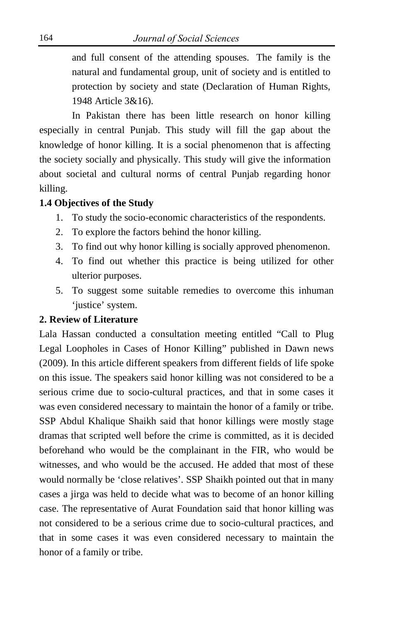and full consent of the attending spouses. The family is the natural and fundamental group, unit of society and is entitled to protection by society and state (Declaration of Human Rights, 1948 Article 3&16).

In Pakistan there has been little research on honor killing especially in central Punjab. This study will fill the gap about the knowledge of honor killing. It is a social phenomenon that is affecting the society socially and physically. This study will give the information about societal and cultural norms of central Punjab regarding honor killing.

### **1.4 Objectives of the Study**

- 1. To study the socio-economic characteristics of the respondents.
- 2. To explore the factors behind the honor killing.
- 3. To find out why honor killing is socially approved phenomenon.
- 4. To find out whether this practice is being utilized for other ulterior purposes.
- 5. To suggest some suitable remedies to overcome this inhuman 'justice' system.

# **2. Review of Literature**

Lala Hassan conducted a consultation meeting entitled "Call to Plug Legal Loopholes in Cases of Honor Killing" published in Dawn news (2009). In this article different speakers from different fields of life spoke on this issue. The speakers said honor killing was not considered to be a serious crime due to socio-cultural practices, and that in some cases it was even considered necessary to maintain the honor of a family or tribe. SSP Abdul Khalique Shaikh said that honor killings were mostly stage dramas that scripted well before the crime is committed, as it is decided beforehand who would be the complainant in the FIR, who would be witnesses, and who would be the accused. He added that most of these would normally be 'close relatives'. SSP Shaikh pointed out that in many cases a jirga was held to decide what was to become of an honor killing case. The representative of Aurat Foundation said that honor killing was not considered to be a serious crime due to socio-cultural practices, and that in some cases it was even considered necessary to maintain the honor of a family or tribe.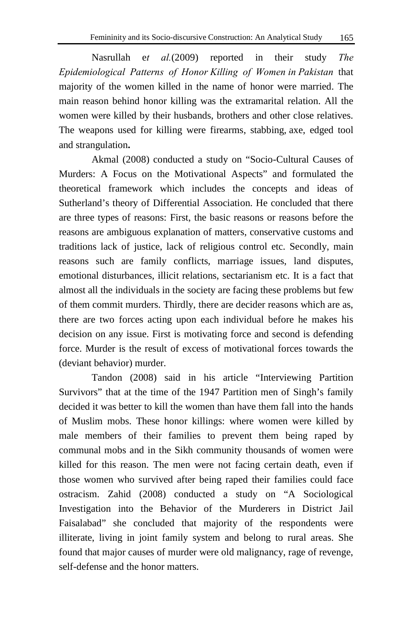Nasrullah e*t al.*(2009) reported in their study *The Epidemiological Patterns of Honor Killing of Women in Pakistan* that majority of the women killed in the name of honor were married. The main reason behind honor killing was the extramarital relation. All the women were killed by their husbands, brothers and other close relatives. The weapons used for killing were firearms, stabbing, axe, edged tool and strangulation**.**

Akmal (2008) conducted a study on "Socio-Cultural Causes of Murders: A Focus on the Motivational Aspects" and formulated the theoretical framework which includes the concepts and ideas of Sutherland's theory of Differential Association. He concluded that there are three types of reasons: First, the basic reasons or reasons before the reasons are ambiguous explanation of matters, conservative customs and traditions lack of justice, lack of religious control etc. Secondly, main reasons such are family conflicts, marriage issues, land disputes, emotional disturbances, illicit relations, sectarianism etc. It is a fact that almost all the individuals in the society are facing these problems but few of them commit murders. Thirdly, there are decider reasons which are as, there are two forces acting upon each individual before he makes his decision on any issue. First is motivating force and second is defending force. Murder is the result of excess of motivational forces towards the (deviant behavior) murder.

[Tandon](http://www.kushtandon.squarespace.com/) (2008) said in his article "Interviewing Partition Survivors" that at the time of the 1947 Partition men of Singh's family decided it was better to kill the women than have them fall into the hands of Muslim mobs. These honor killings: where women were killed by male members of their families to prevent them being raped by communal mobs and in the Sikh community thousands of women were killed for this reason. The men were not facing certain death, even if those women who survived after being raped their families could face ostracism. Zahid (2008) conducted a study on "A Sociological Investigation into the Behavior of the Murderers in District Jail Faisalabad" she concluded that majority of the respondents were illiterate, living in joint family system and belong to rural areas. She found that major causes of murder were old malignancy, rage of revenge, self-defense and the honor matters.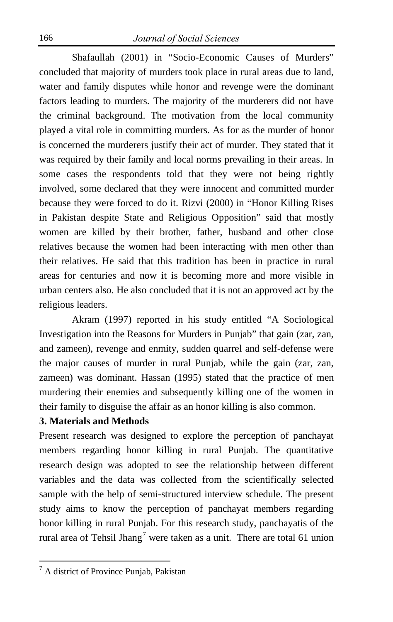Shafaullah (2001) in "Socio-Economic Causes of Murders" concluded that majority of murders took place in rural areas due to land, water and family disputes while honor and revenge were the dominant factors leading to murders. The majority of the murderers did not have the criminal background. The motivation from the local community played a vital role in committing murders. As for as the murder of honor is concerned the murderers justify their act of murder. They stated that it was required by their family and local norms prevailing in their areas. In some cases the respondents told that they were not being rightly involved, some declared that they were innocent and committed murder because they were forced to do it. Rizvi (2000) in "Honor Killing Rises in Pakistan despite State and Religious Opposition" said that mostly women are killed by their brother, father, husband and other close relatives because the women had been interacting with men other than their relatives. He said that this tradition has been in practice in rural areas for centuries and now it is becoming more and more visible in urban centers also. He also concluded that it is not an approved act by the religious leaders.

Akram (1997) reported in his study entitled "A Sociological Investigation into the Reasons for Murders in Punjab" that gain (zar, zan, and zameen), revenge and enmity, sudden quarrel and self-defense were the major causes of murder in rural Punjab, while the gain (zar, zan, zameen) was dominant. Hassan (1995) stated that the practice of men murdering their enemies and subsequently killing one of the women in their family to disguise the affair as an honor killing is also common.

# **3. Materials and Methods**

Present research was designed to explore the perception of panchayat members regarding honor killing in rural Punjab. The quantitative research design was adopted to see the relationship between different variables and the data was collected from the scientifically selected sample with the help of semi-structured interview schedule. The present study aims to know the perception of panchayat members regarding honor killing in rural Punjab. For this research study, panchayatis of the rural area of Tehsil Jhang<sup>[7](#page-0-1)</sup> were taken as a unit. There are total 61 union

 $\overline{a}$ 

 $<sup>7</sup>$  A district of Province Punjab, Pakistan</sup>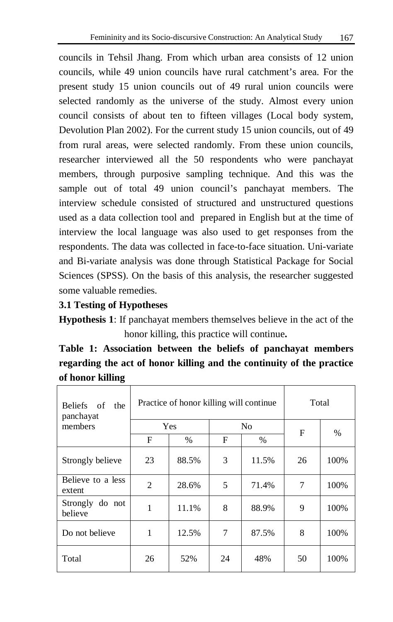councils in Tehsil Jhang. From which urban area consists of 12 union councils, while 49 union councils have rural catchment's area. For the present study 15 union councils out of 49 rural union councils were selected randomly as the universe of the study. Almost every union council consists of about ten to fifteen villages (Local body system, Devolution Plan 2002). For the current study 15 union councils, out of 49 from rural areas, were selected randomly. From these union councils, researcher interviewed all the 50 respondents who were panchayat members, through purposive sampling technique. And this was the sample out of total 49 union council's panchayat members. The interview schedule consisted of structured and unstructured questions used as a data collection tool and prepared in English but at the time of interview the local language was also used to get responses from the respondents. The data was collected in face-to-face situation. Uni-variate and Bi-variate analysis was done through Statistical Package for Social Sciences (SPSS). On the basis of this analysis, the researcher suggested some valuable remedies.

### **3.1 Testing of Hypotheses**

**Hypothesis 1**: If panchayat members themselves believe in the act of the honor killing, this practice will continue**.** 

**Table 1: Association between the beliefs of panchayat members regarding the act of honor killing and the continuity of the practice of honor killing**

| Beliefs of the<br>panchayat<br>members |     | Practice of honor killing will continue | Total |       |    |      |
|----------------------------------------|-----|-----------------------------------------|-------|-------|----|------|
|                                        | Yes |                                         | No    |       | F  | $\%$ |
|                                        | F   | $\%$                                    | F     | $\%$  |    |      |
| Strongly believe                       | 23  | 88.5%                                   | 3     | 11.5% | 26 | 100% |
| Believe to a less<br>extent            | 2   | 28.6%                                   | 5     | 71.4% | 7  | 100% |
| Strongly do not<br>believe             | 1   | 11.1%                                   | 8     | 88.9% | 9  | 100% |
| Do not believe                         | 1   | 12.5%                                   | 7     | 87.5% | 8  | 100% |
| Total                                  | 26  | 52%                                     | 24    | 48%   | 50 | 100% |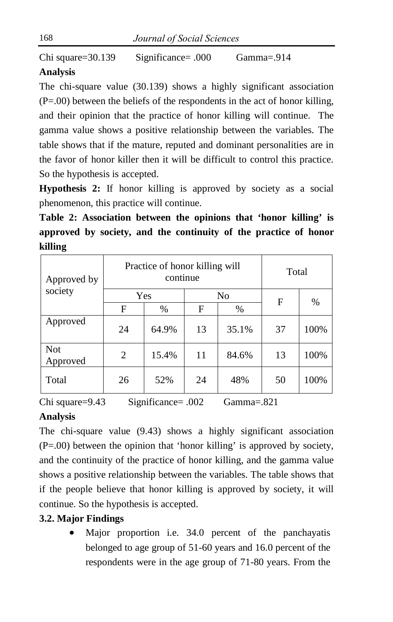Chi square=30.139 Significance= .000 Gamma=.914

# **Analysis**

The chi-square value (30.139) shows a highly significant association (P=.00) between the beliefs of the respondents in the act of honor killing, and their opinion that the practice of honor killing will continue. The gamma value shows a positive relationship between the variables. The table shows that if the mature, reputed and dominant personalities are in the favor of honor killer then it will be difficult to control this practice. So the hypothesis is accepted.

**Hypothesis 2:** If honor killing is approved by society as a social phenomenon, this practice will continue.

**Table 2: Association between the opinions that 'honor killing' is approved by society, and the continuity of the practice of honor killing**

| Approved by<br>society |                | Practice of honor killing will<br>continue | Total |       |    |      |
|------------------------|----------------|--------------------------------------------|-------|-------|----|------|
|                        | Yes            |                                            | No    |       | F  | $\%$ |
|                        | F              | $\%$                                       | F     | %     |    |      |
| Approved               | 24             | 64.9%                                      | 13    | 35.1% | 37 | 100% |
| <b>Not</b><br>Approved | $\overline{2}$ | 15.4%                                      | 11    | 84.6% | 13 | 100% |
| Total                  | 26             | 52%                                        | 24    | 48%   | 50 | 100% |

Chi square=9.43 Significance= .002 Gamma=.821

# **Analysis**

The chi-square value (9.43) shows a highly significant association (P=.00) between the opinion that 'honor killing' is approved by society, and the continuity of the practice of honor killing, and the gamma value shows a positive relationship between the variables. The table shows that if the people believe that honor killing is approved by society, it will continue. So the hypothesis is accepted.

# **3.2. Major Findings**

• Major proportion i.e. 34.0 percent of the panchayatis belonged to age group of 51-60 years and 16.0 percent of the respondents were in the age group of 71-80 years. From the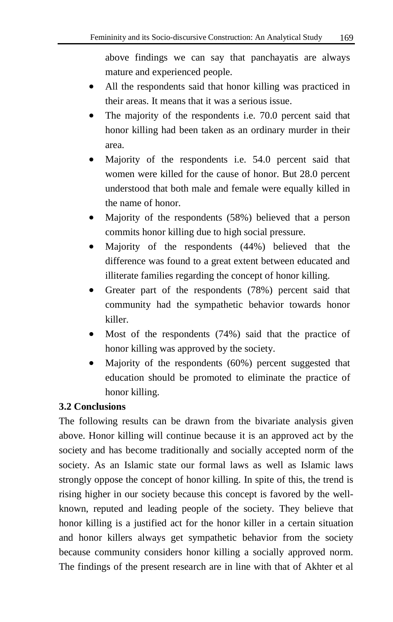above findings we can say that panchayatis are always mature and experienced people.

- All the respondents said that honor killing was practiced in their areas. It means that it was a serious issue.
- The majority of the respondents i.e. 70.0 percent said that honor killing had been taken as an ordinary murder in their area.
- Majority of the respondents i.e. 54.0 percent said that women were killed for the cause of honor. But 28.0 percent understood that both male and female were equally killed in the name of honor.
- Majority of the respondents (58%) believed that a person commits honor killing due to high social pressure.
- Majority of the respondents (44%) believed that the difference was found to a great extent between educated and illiterate families regarding the concept of honor killing.
- Greater part of the respondents (78%) percent said that community had the sympathetic behavior towards honor killer.
- Most of the respondents (74%) said that the practice of honor killing was approved by the society.
- Majority of the respondents (60%) percent suggested that education should be promoted to eliminate the practice of honor killing.

# **3.2 Conclusions**

The following results can be drawn from the bivariate analysis given above. Honor killing will continue because it is an approved act by the society and has become traditionally and socially accepted norm of the society. As an Islamic state our formal laws as well as Islamic laws strongly oppose the concept of honor killing. In spite of this, the trend is rising higher in our society because this concept is favored by the wellknown, reputed and leading people of the society. They believe that honor killing is a justified act for the honor killer in a certain situation and honor killers always get sympathetic behavior from the society because community considers honor killing a socially approved norm. The findings of the present research are in line with that of Akhter et al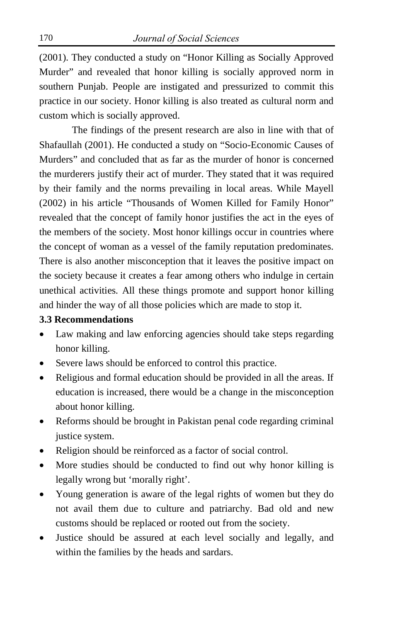(2001). They conducted a study on "Honor Killing as Socially Approved Murder" and revealed that honor killing is socially approved norm in southern Punjab. People are instigated and pressurized to commit this practice in our society. Honor killing is also treated as cultural norm and custom which is socially approved.

The findings of the present research are also in line with that of Shafaullah (2001). He conducted a study on "Socio-Economic Causes of Murders" and concluded that as far as the murder of honor is concerned the murderers justify their act of murder. They stated that it was required by their family and the norms prevailing in local areas. While Mayell (2002) in his article "Thousands of Women Killed for Family Honor" revealed that the concept of family honor justifies the act in the eyes of the members of the society. Most honor killings occur in countries where the concept of woman as a vessel of the family reputation predominates. There is also another misconception that it leaves the positive impact on the society because it creates a fear among others who indulge in certain unethical activities. All these things promote and support honor killing and hinder the way of all those policies which are made to stop it.

### **3.3 Recommendations**

- Law making and law enforcing agencies should take steps regarding honor killing.
- Severe laws should be enforced to control this practice.
- Religious and formal education should be provided in all the areas. If education is increased, there would be a change in the misconception about honor killing.
- Reforms should be brought in Pakistan penal code regarding criminal justice system.
- Religion should be reinforced as a factor of social control.
- More studies should be conducted to find out why honor killing is legally wrong but 'morally right'.
- Young generation is aware of the legal rights of women but they do not avail them due to culture and patriarchy. Bad old and new customs should be replaced or rooted out from the society.
- Justice should be assured at each level socially and legally, and within the families by the heads and sardars.